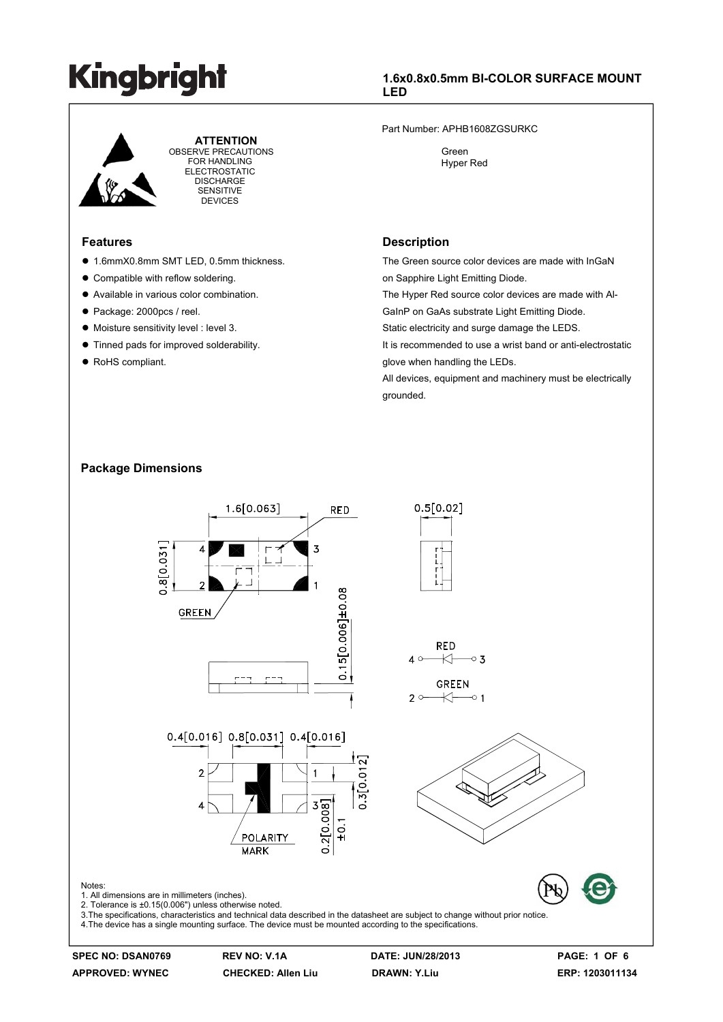

 **ATTENTION** OBSERVE PRECAUTIONS FOR HANDLING ELECTROSTATIC DISCHARGE SENSITIVE DEVICES

#### **Features**

- 1.6mmX0.8mm SMT LED, 0.5mm thickness.
- Compatible with reflow soldering.
- $\bullet$  Available in various color combination.
- Package: 2000pcs / reel.
- $\bullet$  Moisture sensitivity level : level 3.
- $\bullet$  Tinned pads for improved solderability.
- RoHS compliant.

### **1.6x0.8x0.5mm BI-COLOR SURFACE MOUNT LED**

Part Number: APHB1608ZGSURKC

 Green Hyper Red

#### **Description**

The Green source color devices are made with InGaN on Sapphire Light Emitting Diode.

The Hyper Red source color devices are made with Al-GaInP on GaAs substrate Light Emitting Diode.

Static electricity and surge damage the LEDS.

It is recommended to use a wrist band or anti-electrostatic glove when handling the LEDs.

All devices, equipment and machinery must be electrically grounded.

### **Package Dimensions**

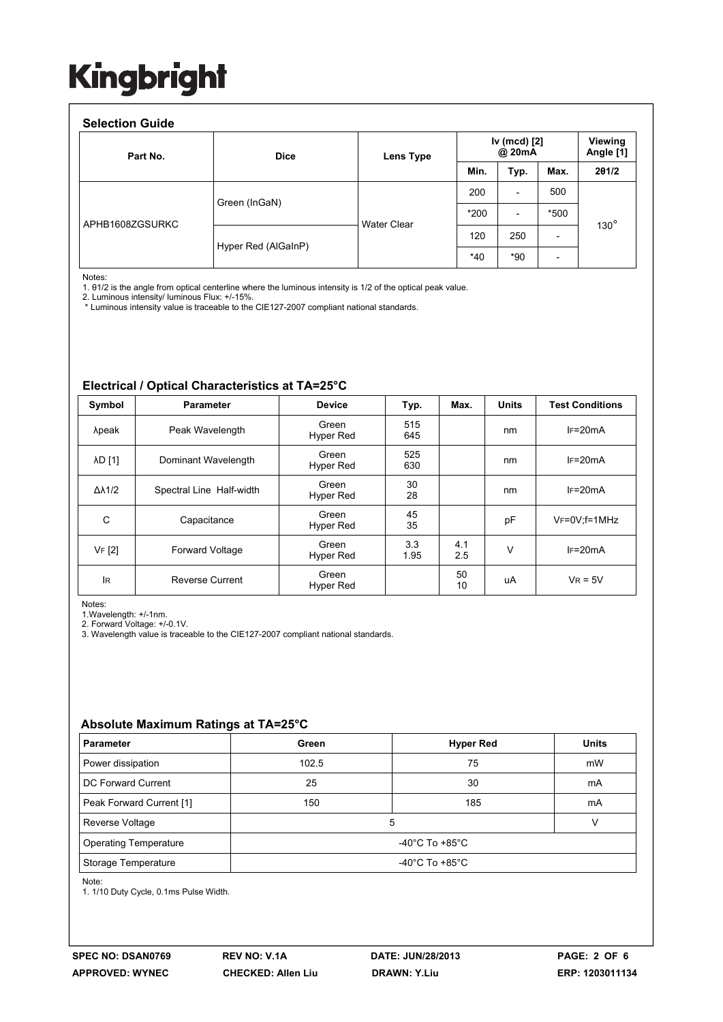| Part No.        | <b>Dice</b>         | Lens Type          | Iv (mcd) [2]<br>@ 20mA |                          |                          | Viewing<br>Angle [1] |
|-----------------|---------------------|--------------------|------------------------|--------------------------|--------------------------|----------------------|
|                 |                     |                    | Min.                   | Typ.                     | Max.                     | 201/2                |
| APHB1608ZGSURKC | Green (InGaN)       | <b>Water Clear</b> | 200                    | $\overline{\phantom{a}}$ | 500                      | $130^\circ$          |
|                 |                     |                    | $*200$                 | $\overline{\phantom{a}}$ | *500                     |                      |
|                 | Hyper Red (AlGaInP) |                    | 120                    | 250                      | $\overline{\phantom{a}}$ |                      |
|                 |                     |                    | $*40$                  | *90                      | $\overline{\phantom{a}}$ |                      |

Notes:

1. θ1/2 is the angle from optical centerline where the luminous intensity is 1/2 of the optical peak value.

2. Luminous intensity/ luminous Flux: +/-15%.

\* Luminous intensity value is traceable to the CIE127-2007 compliant national standards.

#### **Electrical / Optical Characteristics at TA=25°C**

| Symbol              | <b>Parameter</b>         | <b>Device</b>             | Typ.        | Max.       | <b>Units</b> | <b>Test Conditions</b>  |
|---------------------|--------------------------|---------------------------|-------------|------------|--------------|-------------------------|
| λpeak               | Peak Wavelength          | Green<br>Hyper Red        | 515<br>645  |            | nm           | $IF=20mA$               |
| <b>AD [1]</b>       | Dominant Wavelength      | Green<br>Hyper Red        | 525<br>630  |            | nm           | $IF=20mA$               |
| $\Delta\lambda$ 1/2 | Spectral Line Half-width | Green<br>Hyper Red        | 30<br>28    |            | nm           | $IF=20mA$               |
| C                   | Capacitance              | Green<br><b>Hyper Red</b> | 45<br>35    |            | pF           | $V_F = 0V$ : $f = 1MHz$ |
| VF [2]              | <b>Forward Voltage</b>   | Green<br><b>Hyper Red</b> | 3.3<br>1.95 | 4.1<br>2.5 | V            | $IF=20mA$               |
| lR.                 | <b>Reverse Current</b>   | Green<br><b>Hyper Red</b> |             | 50<br>10   | uA           | $V_R = 5V$              |

Notes:

1.Wavelength: +/-1nm.

2. Forward Voltage: +/-0.1V.

3. Wavelength value is traceable to the CIE127-2007 compliant national standards.

#### **Absolute Maximum Ratings at TA=25°C**

| <b>Parameter</b>             | Green                                | <b>Hyper Red</b> | <b>Units</b> |  |  |  |
|------------------------------|--------------------------------------|------------------|--------------|--|--|--|
| Power dissipation            | 102.5                                | 75               | mW           |  |  |  |
| DC Forward Current           | 25                                   | 30               | mA           |  |  |  |
| Peak Forward Current [1]     | 150                                  | 185              | mA           |  |  |  |
| Reverse Voltage              | 5                                    |                  |              |  |  |  |
| <b>Operating Temperature</b> | -40 $^{\circ}$ C To +85 $^{\circ}$ C |                  |              |  |  |  |
| Storage Temperature          | -40 $^{\circ}$ C To +85 $^{\circ}$ C |                  |              |  |  |  |
| $N = +$                      |                                      |                  |              |  |  |  |

Note:

1. 1/10 Duty Cycle, 0.1ms Pulse Width.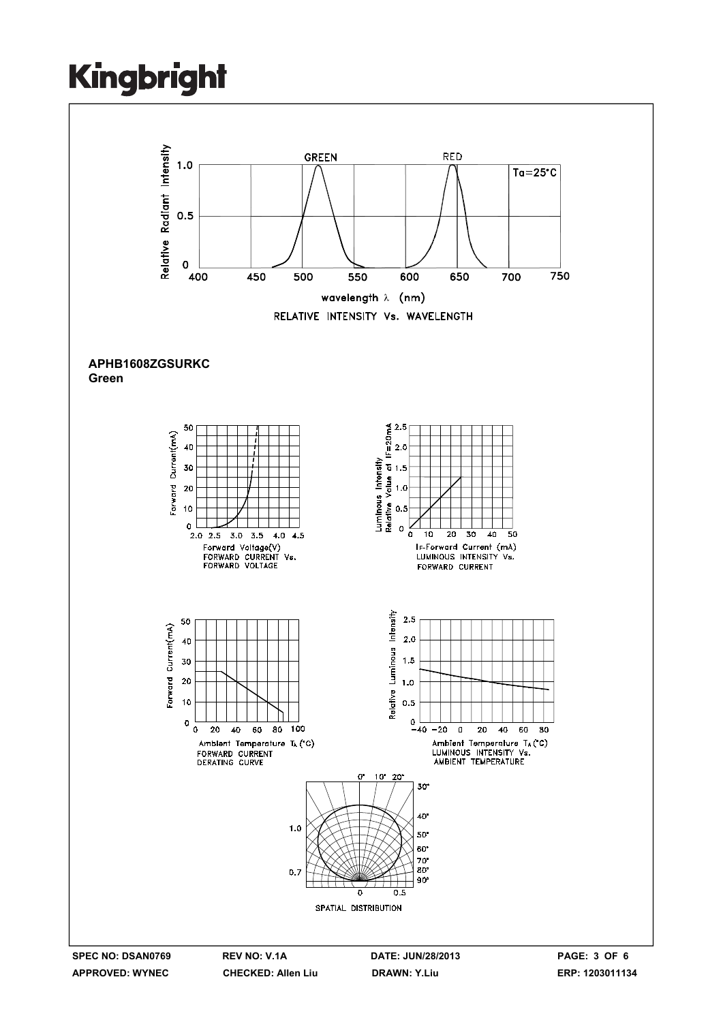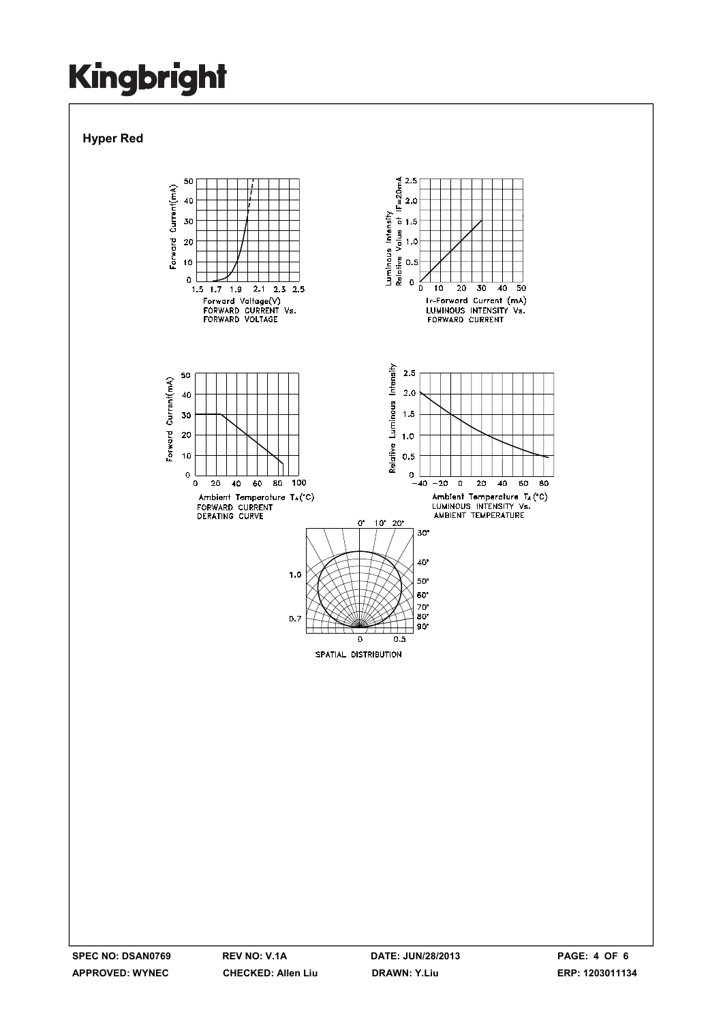### **Hyper Red**

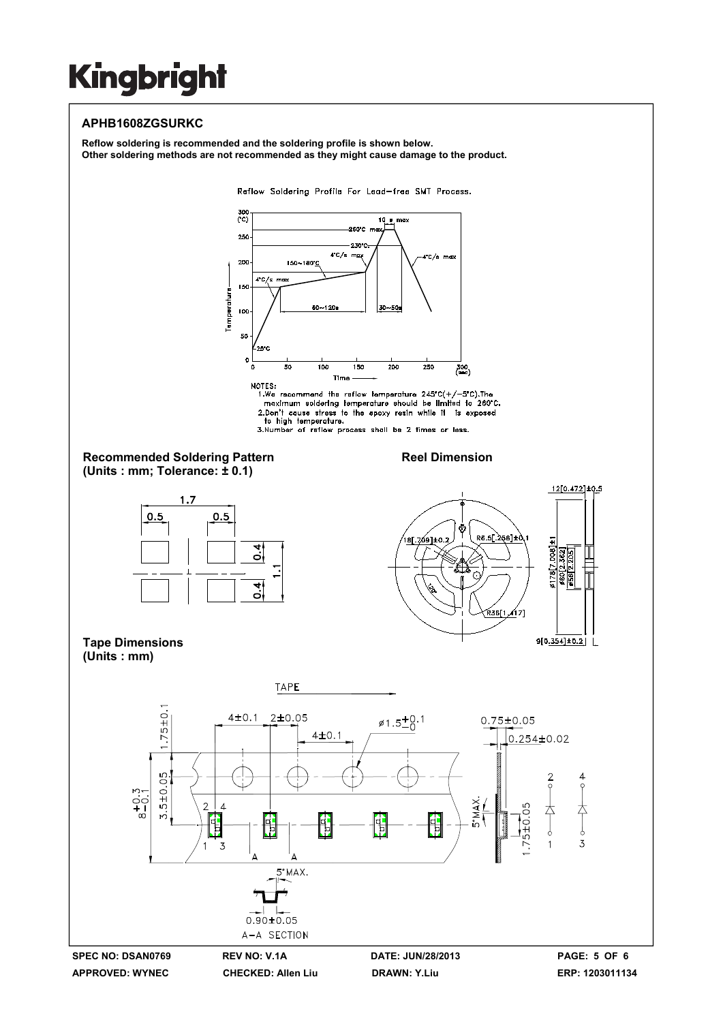### **APHB1608ZGSURKC**

**Reflow soldering is recommended and the soldering profile is shown below. Other soldering methods are not recommended as they might cause damage to the product.** 

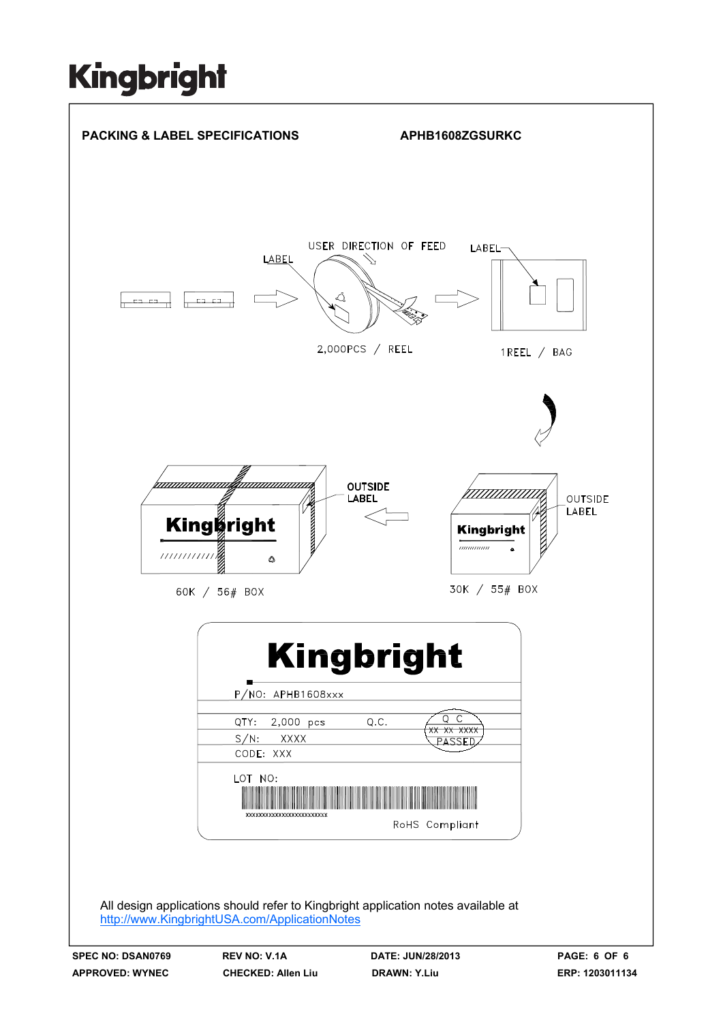